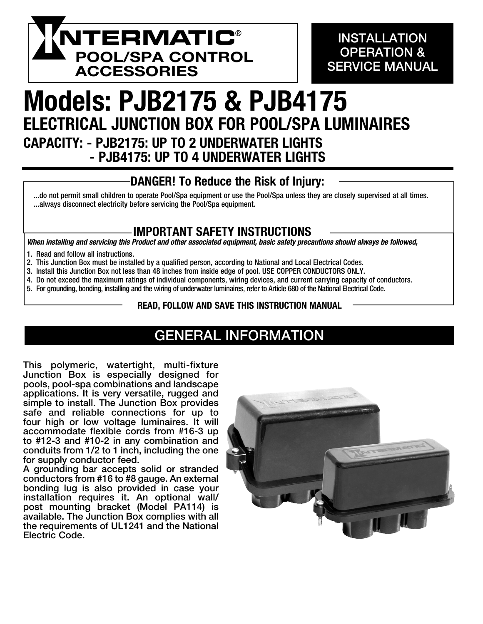

## **INSTALLATION** OPERATION & SERVICE MANUAL

## Models: PJB2175 & PJB4175 ELECTRICAL JUNCTION BOX FOR POOL/SPA LUMINAIRES CAPACITY: - PJB2175: UP TO 2 UNDERWATER LIGHTS - PJB4175: UP TO 4 UNDERWATER LIGHTS

# DANGER! To Reduce the Risk of Injury:

### ...do not permit small children to operate Pool/Spa equipment or use the Pool/Spa unless they are closely supervised at all times. ...always disconnect electricity before servicing the Pool/Spa equipment.

## IMPORTANT SAFETY INSTRUCTIONS

*When installing and servicing this Product and other associated equipment, basic safety precautions should always be followed,*

- 1. Read and follow all instructions.
- 2. This Junction Box must be installed by a qualified person, according to National and Local Electrical Codes.
- 3. Install this Junction Box not less than 48 inches from inside edge of pool. USE COPPER CONDUCTORS ONLY.
- 4. Do not exceed the maximum ratings of individual components, wiring devices, and current carrying capacity of conductors.
- 5. For grounding, bonding, installing and the wiring of underwater luminaires, refer to Article 680 of the National Electrical Code.

#### READ, FOLLOW AND SAVE THIS INSTRUCTION MANUAL

## GENERAL INFORMATION

This polymeric, watertight, multi-fixture Junction Box is especially designed for pools, pool-spa combinations and landscape applications. It is very versatile, rugged and simple to install. The Junction Box provides safe and reliable connections for up to four high or low voltage luminaires. It will accommodate flexible cords from #16-3 up to #12-3 and #10-2 in any combination and conduits from 1/2 to 1 inch, including the one for supply conductor feed.

A grounding bar accepts solid or stranded conductors from #16 to #8 gauge. An external bonding lug is also provided in case your installation requires it. An optional wall/ post mounting bracket (Model PA114) is available. The Junction Box complies with all the requirements of UL1241 and the National Electric Code.